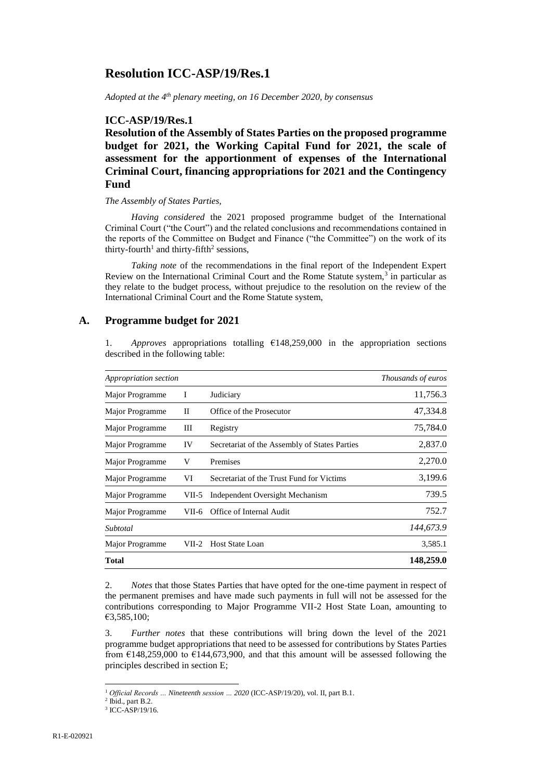# **Resolution ICC-ASP/19/Res.1**

*Adopted at the 4 th plenary meeting, on 16 December 2020, by consensus*

## **ICC-ASP/19/Res.1**

**Resolution of the Assembly of States Parties on the proposed programme budget for 2021, the Working Capital Fund for 2021, the scale of assessment for the apportionment of expenses of the International Criminal Court, financing appropriations for 2021 and the Contingency Fund**

### *The Assembly of States Parties,*

*Having considered* the 2021 proposed programme budget of the International Criminal Court ("the Court") and the related conclusions and recommendations contained in the reports of the Committee on Budget and Finance ("the Committee") on the work of its thirty-fourth<sup>1</sup> and thirty-fifth<sup>2</sup> sessions,

*Taking note* of the recommendations in the final report of the Independent Expert Review on the International Criminal Court and the Rome Statute system,<sup>3</sup> in particular as they relate to the budget process, without prejudice to the resolution on the review of the International Criminal Court and the Rome Statute system,

### **A. Programme budget for 2021**

1. *Approves* appropriations totalling  $£148,259,000$  in the appropriation sections described in the following table:

| Appropriation section | Thousands of euros |                                               |           |
|-----------------------|--------------------|-----------------------------------------------|-----------|
| Major Programme       |                    | Judiciary                                     | 11,756.3  |
| Major Programme       | П                  | Office of the Prosecutor                      | 47,334.8  |
| Major Programme       | Ш                  | Registry                                      | 75,784.0  |
| Major Programme       | IV                 | Secretariat of the Assembly of States Parties | 2,837.0   |
| Major Programme       | V                  | Premises                                      | 2,270.0   |
| Major Programme       | VI                 | Secretariat of the Trust Fund for Victims     | 3,199.6   |
| Major Programme       | VII-5              | Independent Oversight Mechanism               | 739.5     |
| Major Programme       | VII-6              | Office of Internal Audit                      | 752.7     |
| Subtotal              |                    |                                               | 144,673.9 |
| Major Programme       | VII-2              | <b>Host State Loan</b>                        | 3,585.1   |
| <b>Total</b>          |                    |                                               | 148,259.0 |

2. *Notes* that those States Parties that have opted for the one-time payment in respect of the permanent premises and have made such payments in full will not be assessed for the contributions corresponding to Major Programme VII-2 Host State Loan, amounting to €3,585,100;

3. *Further notes* that these contributions will bring down the level of the 2021 programme budget appropriations that need to be assessed for contributions by States Parties from  $\epsilon$ 148,259,000 to  $\epsilon$ 144,673,900, and that this amount will be assessed following the principles described in section E;

<sup>1</sup> *Official Records … Nineteenth session … 2020* (ICC-ASP/19/20), vol. II, part B.1.

 $<sup>2</sup>$  Ibid., part B.2.</sup>

<sup>3</sup> ICC-ASP/19/16.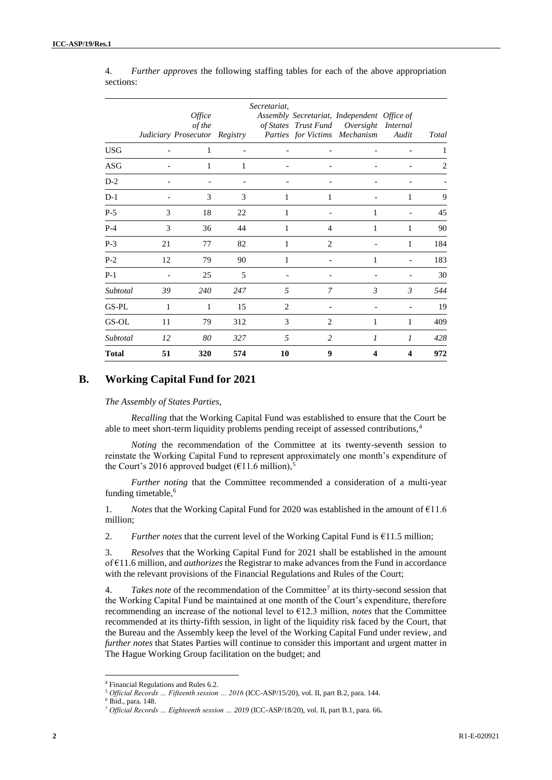|              |    | Office<br>of the<br>Judiciary Prosecutor Registry |     | Secretariat,   |                | Assembly Secretariat, Independent Office of<br>of States Trust Fund Oversight Internal<br>Parties for Victims Mechanism | Audit         | <b>Total</b> |
|--------------|----|---------------------------------------------------|-----|----------------|----------------|-------------------------------------------------------------------------------------------------------------------------|---------------|--------------|
| <b>USG</b>   |    | 1                                                 |     |                |                |                                                                                                                         |               |              |
| <b>ASG</b>   |    | 1                                                 | 1   |                |                |                                                                                                                         |               | 2            |
| $D-2$        |    |                                                   |     |                |                |                                                                                                                         |               |              |
| $D-1$        |    | 3                                                 | 3   | 1              | 1              |                                                                                                                         | 1             | 9            |
| $P-5$        | 3  | 18                                                | 22  | 1              |                | 1                                                                                                                       |               | 45           |
| $P-4$        | 3  | 36                                                | 44  | 1              | $\overline{4}$ | 1                                                                                                                       | 1             | 90           |
| $P-3$        | 21 | 77                                                | 82  | 1              | 2              |                                                                                                                         | 1             | 184          |
| $P-2$        | 12 | 79                                                | 90  | 1              |                | 1                                                                                                                       |               | 183          |
| $P-1$        |    | 25                                                | 5   |                |                |                                                                                                                         |               | 30           |
| Subtotal     | 39 | 240                                               | 247 | 5              | 7              | $\mathfrak{Z}$                                                                                                          | $\mathcal{E}$ | 544          |
| GS-PL        | 1  | 1                                                 | 15  | $\overline{2}$ |                |                                                                                                                         |               | 19           |
| GS-OL        | 11 | 79                                                | 312 | 3              | 2              | 1                                                                                                                       | 1             | 409          |
| Subtotal     | 12 | 80                                                | 327 | 5              | 2              | $\boldsymbol{l}$                                                                                                        | 1             | 428          |
| <b>Total</b> | 51 | 320                                               | 574 | 10             | 9              | 4                                                                                                                       | 4             | 972          |

4. *Further approves* the following staffing tables for each of the above appropriation sections:

# **B. Working Capital Fund for 2021**

#### *The Assembly of States Parties,*

*Recalling* that the Working Capital Fund was established to ensure that the Court be able to meet short-term liquidity problems pending receipt of assessed contributions,<sup>4</sup>

*Noting* the recommendation of the Committee at its twenty-seventh session to reinstate the Working Capital Fund to represent approximately one month's expenditure of the Court's 2016 approved budget ( $\epsilon$ 11.6 million),<sup>5</sup>

*Further noting* that the Committee recommended a consideration of a multi-year funding timetable,<sup>6</sup>

1. *Notes* that the Working Capital Fund for 2020 was established in the amount of €11.6 million;

2. *Further notes that the current level of the Working Capital Fund is*  $£11.5$  million;

3. *Resolves* that the Working Capital Fund for 2021 shall be established in the amount of €11.6 million, and *authorizes* the Registrar to make advances from the Fund in accordance with the relevant provisions of the Financial Regulations and Rules of the Court;

4. *Takes note* of the recommendation of the Committee<sup>7</sup> at its thirty-second session that the Working Capital Fund be maintained at one month of the Court's expenditure, therefore recommending an increase of the notional level to €12.3 million, *notes* that the Committee recommended at its thirty-fifth session, in light of the liquidity risk faced by the Court, that the Bureau and the Assembly keep the level of the Working Capital Fund under review, and *further notes* that States Parties will continue to consider this important and urgent matter in The Hague Working Group facilitation on the budget; and

<sup>4</sup> Financial Regulations and Rules 6.2.

<sup>5</sup> *Official Records … Fifteenth session … 2016* (ICC-ASP/15/20), vol. II, part B.2, para. 144.

<sup>6</sup> Ibid., para. 148.

<sup>7</sup> *Official Records … Eighteenth session … 2019* (ICC-ASP/18/20), vol. II, part B.1, para. 66**.**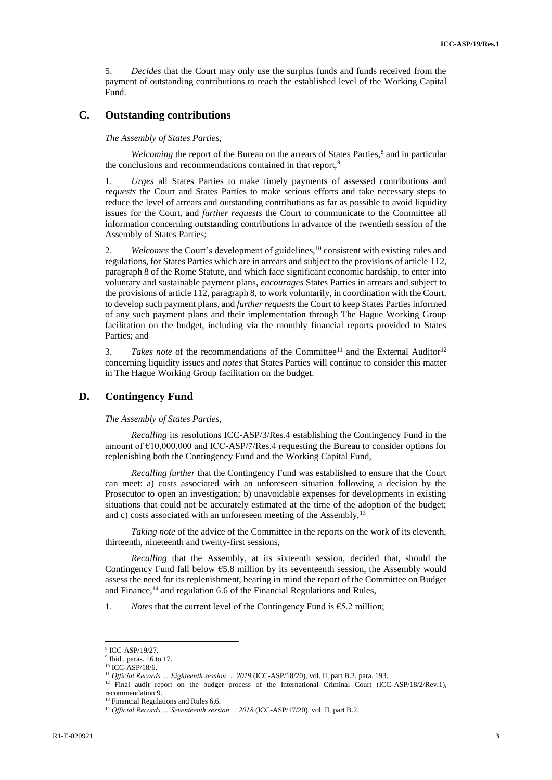5. *Decides* that the Court may only use the surplus funds and funds received from the payment of outstanding contributions to reach the established level of the Working Capital Fund.

## **C. Outstanding contributions**

*The Assembly of States Parties,*

Welcoming the report of the Bureau on the arrears of States Parties,<sup>8</sup> and in particular the conclusions and recommendations contained in that report,<sup>9</sup>

1. *Urges* all States Parties to make timely payments of assessed contributions and *requests* the Court and States Parties to make serious efforts and take necessary steps to reduce the level of arrears and outstanding contributions as far as possible to avoid liquidity issues for the Court, and *further requests* the Court to communicate to the Committee all information concerning outstanding contributions in advance of the twentieth session of the Assembly of States Parties;

2. *Welcomes* the Court's development of guidelines,<sup>10</sup> consistent with existing rules and regulations, for States Parties which are in arrears and subject to the provisions of article 112, paragraph 8 of the Rome Statute, and which face significant economic hardship, to enter into voluntary and sustainable payment plans, *encourages* States Parties in arrears and subject to the provisions of article 112, paragraph 8, to work voluntarily, in coordination with the Court, to develop such payment plans, and *further requests* the Court to keep States Parties informed of any such payment plans and their implementation through The Hague Working Group facilitation on the budget, including via the monthly financial reports provided to States Parties; and

3. *Takes note* of the recommendations of the Committee<sup>11</sup> and the External Auditor<sup>12</sup> concerning liquidity issues and *notes* that States Parties will continue to consider this matter in The Hague Working Group facilitation on the budget.

## **D. Contingency Fund**

#### *The Assembly of States Parties,*

*Recalling* its resolutions ICC-ASP/3/Res.4 establishing the Contingency Fund in the amount of  $\epsilon$ 10,000,000 and ICC-ASP/7/Res.4 requesting the Bureau to consider options for replenishing both the Contingency Fund and the Working Capital Fund,

*Recalling further* that the Contingency Fund was established to ensure that the Court can meet: a) costs associated with an unforeseen situation following a decision by the Prosecutor to open an investigation; b) unavoidable expenses for developments in existing situations that could not be accurately estimated at the time of the adoption of the budget; and c) costs associated with an unforeseen meeting of the Assembly,  $13$ 

*Taking note* of the advice of the Committee in the reports on the work of its eleventh, thirteenth, nineteenth and twenty-first sessions,

*Recalling* that the Assembly, at its sixteenth session, decided that, should the Contingency Fund fall below €5.8 million by its seventeenth session, the Assembly would assess the need for its replenishment, bearing in mind the report of the Committee on Budget and Finance, $14$  and regulation 6.6 of the Financial Regulations and Rules,

1. *Notes* that the current level of the Contingency Fund is  $\epsilon$ 5.2 million;

<sup>8</sup> ICC-ASP/19/27.

 $9$  Ibid., paras. 16 to 17.

<sup>10</sup> ICC-ASP/18/6.

<sup>&</sup>lt;sup>11</sup> *Official Records ... Eighteenth session ... 2019* (ICC-ASP/18/20), vol. II, part B.2. para. 193.

<sup>&</sup>lt;sup>12</sup> Final audit report on the budget process of the International Criminal Court (ICC-ASP/18/2/Rev.1), recommendation 9.

<sup>&</sup>lt;sup>13</sup> Financial Regulations and Rules 6.6.

<sup>&</sup>lt;sup>14</sup> Official Records ... Seventeenth session ... 2018 (ICC-ASP/17/20), vol. II, part B.2.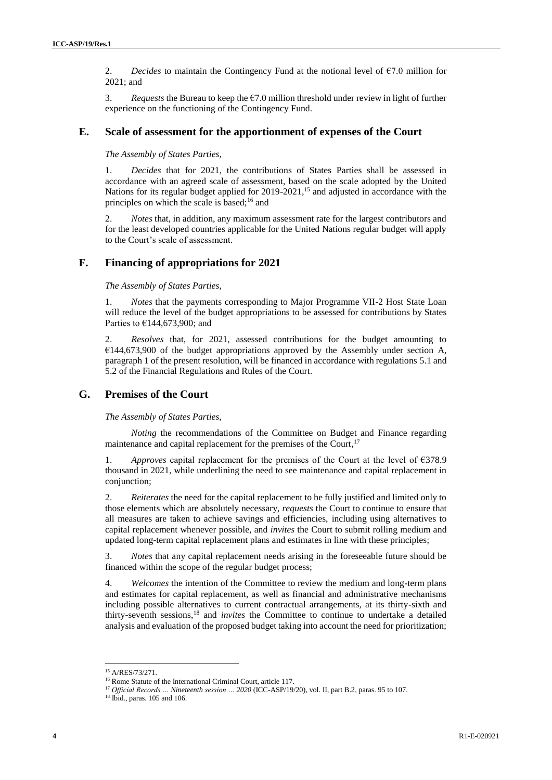2. *Decides* to maintain the Contingency Fund at the notional level of  $\epsilon$ 7.0 million for 2021; and

3. *Requests* the Bureau to keep the  $\epsilon$ 7.0 million threshold under review in light of further experience on the functioning of the Contingency Fund.

### **E. Scale of assessment for the apportionment of expenses of the Court**

*The Assembly of States Parties,*

1. *Decides* that for 2021, the contributions of States Parties shall be assessed in accordance with an agreed scale of assessment, based on the scale adopted by the United Nations for its regular budget applied for 2019-2021,<sup>15</sup> and adjusted in accordance with the principles on which the scale is based; $16$  and

2. *Notes* that, in addition, any maximum assessment rate for the largest contributors and for the least developed countries applicable for the United Nations regular budget will apply to the Court's scale of assessment.

## **F. Financing of appropriations for 2021**

*The Assembly of States Parties,*

1. *Notes* that the payments corresponding to Major Programme VII-2 Host State Loan will reduce the level of the budget appropriations to be assessed for contributions by States Parties to  $€144,673,900$ ; and

2. *Resolves* that, for 2021, assessed contributions for the budget amounting to  $€144,673,900$  of the budget appropriations approved by the Assembly under section A, paragraph 1 of the present resolution, will be financed in accordance with regulations 5.1 and 5.2 of the Financial Regulations and Rules of the Court.

## **G. Premises of the Court**

*The Assembly of States Parties,*

*Noting* the recommendations of the Committee on Budget and Finance regarding maintenance and capital replacement for the premises of the Court,<sup>17</sup>

1. *Approves* capital replacement for the premises of the Court at the level of €378.9 thousand in 2021, while underlining the need to see maintenance and capital replacement in conjunction;

2. *Reiterates* the need for the capital replacement to be fully justified and limited only to those elements which are absolutely necessary, *requests* the Court to continue to ensure that all measures are taken to achieve savings and efficiencies, including using alternatives to capital replacement whenever possible, and *invites* the Court to submit rolling medium and updated long-term capital replacement plans and estimates in line with these principles;

3. *Notes* that any capital replacement needs arising in the foreseeable future should be financed within the scope of the regular budget process;

4. *Welcomes* the intention of the Committee to review the medium and long-term plans and estimates for capital replacement, as well as financial and administrative mechanisms including possible alternatives to current contractual arrangements, at its thirty-sixth and thirty-seventh sessions,<sup>18</sup> and *invites* the Committee to continue to undertake a detailed analysis and evaluation of the proposed budget taking into account the need for prioritization;

<sup>15</sup> A/RES/73/271.

<sup>16</sup> Rome Statute of the International Criminal Court, article 117.

<sup>17</sup> *Official Records … Nineteenth session … 2020* (ICC-ASP/19/20), vol. II, part B.2, paras. 95 to 107.

<sup>18</sup> Ibid., paras. 105 and 106.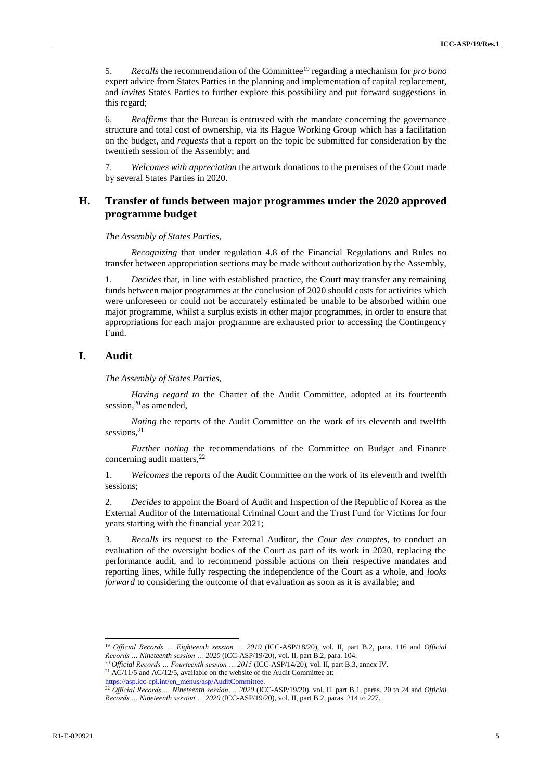5. *Recalls* the recommendation of the Committee<sup>19</sup> regarding a mechanism for *pro bono* expert advice from States Parties in the planning and implementation of capital replacement, and *invites* States Parties to further explore this possibility and put forward suggestions in this regard;

6. *Reaffirms* that the Bureau is entrusted with the mandate concerning the governance structure and total cost of ownership, via its Hague Working Group which has a facilitation on the budget, and *requests* that a report on the topic be submitted for consideration by the twentieth session of the Assembly; and

7. *Welcomes with appreciation* the artwork donations to the premises of the Court made by several States Parties in 2020.

## **H. Transfer of funds between major programmes under the 2020 approved programme budget**

*The Assembly of States Parties,*

*Recognizing* that under regulation 4.8 of the Financial Regulations and Rules no transfer between appropriation sections may be made without authorization by the Assembly,

1. *Decides* that, in line with established practice, the Court may transfer any remaining funds between major programmes at the conclusion of 2020 should costs for activities which were unforeseen or could not be accurately estimated be unable to be absorbed within one major programme, whilst a surplus exists in other major programmes, in order to ensure that appropriations for each major programme are exhausted prior to accessing the Contingency Fund.

### **I. Audit**

*The Assembly of States Parties,*

*Having regard to* the Charter of the Audit Committee, adopted at its fourteenth session,  $20$  as amended,

*Noting* the reports of the Audit Committee on the work of its eleventh and twelfth sessions.<sup>21</sup>

*Further noting* the recommendations of the Committee on Budget and Finance concerning audit matters, $2<sup>2</sup>$ 

1. *Welcomes* the reports of the Audit Committee on the work of its eleventh and twelfth sessions;

2. *Decides* to appoint the Board of Audit and Inspection of the Republic of Korea as the External Auditor of the International Criminal Court and the Trust Fund for Victims for four years starting with the financial year 2021;

3. *Recalls* its request to the External Auditor, the *Cour des comptes*, to conduct an evaluation of the oversight bodies of the Court as part of its work in 2020, replacing the performance audit, and to recommend possible actions on their respective mandates and reporting lines, while fully respecting the independence of the Court as a whole, and *looks forward* to considering the outcome of that evaluation as soon as it is available; and

<sup>19</sup> *Official Records … Eighteenth session … 2019* (ICC-ASP/18/20), vol. II, part B.2, para. 116 and *Official Records … Nineteenth session … 2020* (ICC-ASP/19/20), vol. II, part B.2, para. 104.

<sup>20</sup> *Official Records … Fourteenth session … 2015* (ICC-ASP/14/20), vol. II, part B.3, annex IV. <sup>21</sup> AC/11/5 and AC/12/5, available on the website of the Audit Committee at:

[https://asp.icc-cpi.int/en\\_menus/asp/AuditCommittee.](https://asp.icc-cpi.int/en_menus/asp/AuditCommittee)

<sup>22</sup> *Official Records … Nineteenth session … 2020* (ICC-ASP/19/20), vol. II, part B.1, paras. 20 to 24 and *Official Records … Nineteenth session … 2020* (ICC-ASP/19/20), vol. II, part B.2, paras. 214 to 227.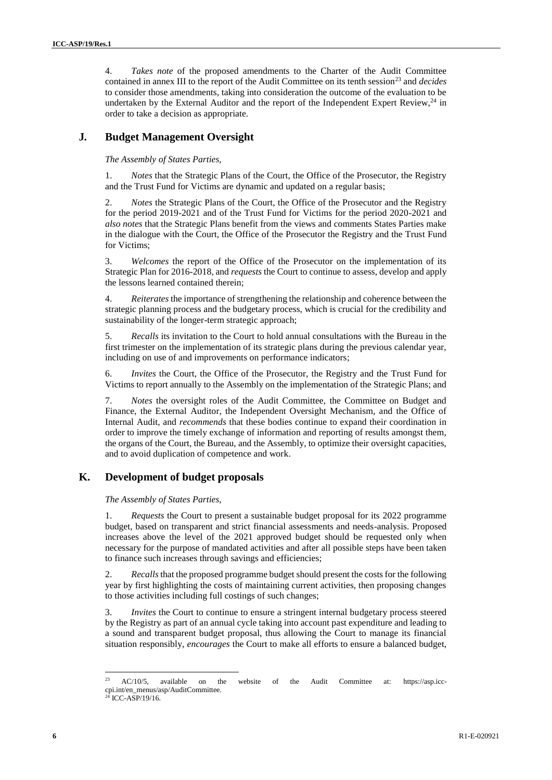4. *Takes note* of the proposed amendments to the Charter of the Audit Committee contained in annex III to the report of the Audit Committee on its tenth session<sup>23</sup> and *decides* to consider those amendments, taking into consideration the outcome of the evaluation to be undertaken by the External Auditor and the report of the Independent Expert Review, $24$  in order to take a decision as appropriate.

## **J***.* **Budget Management Oversight**

### *The Assembly of States Parties,*

1. *Notes* that the Strategic Plans of the Court, the Office of the Prosecutor, the Registry and the Trust Fund for Victims are dynamic and updated on a regular basis;

2. *Notes* the Strategic Plans of the Court, the Office of the Prosecutor and the Registry for the period 2019-2021 and of the Trust Fund for Victims for the period 2020-2021 and *also notes* that the Strategic Plans benefit from the views and comments States Parties make in the dialogue with the Court, the Office of the Prosecutor the Registry and the Trust Fund for Victims;

3. *Welcomes* the report of the Office of the Prosecutor on the implementation of its Strategic Plan for 2016-2018, and *requests* the Court to continue to assess, develop and apply the lessons learned contained therein;

4. *Reiterates* the importance of strengthening the relationship and coherence between the strategic planning process and the budgetary process, which is crucial for the credibility and sustainability of the longer-term strategic approach;

5. *Recalls* its invitation to the Court to hold annual consultations with the Bureau in the first trimester on the implementation of its strategic plans during the previous calendar year, including on use of and improvements on performance indicators;

6. *Invites* the Court, the Office of the Prosecutor, the Registry and the Trust Fund for Victims to report annually to the Assembly on the implementation of the Strategic Plans; and

7. *Notes* the oversight roles of the Audit Committee, the Committee on Budget and Finance, the External Auditor, the Independent Oversight Mechanism, and the Office of Internal Audit, and *recommends* that these bodies continue to expand their coordination in order to improve the timely exchange of information and reporting of results amongst them, the organs of the Court, the Bureau, and the Assembly, to optimize their oversight capacities, and to avoid duplication of competence and work.

# **K. Development of budget proposals**

### *The Assembly of States Parties,*

1. *Requests* the Court to present a sustainable budget proposal for its 2022 programme budget, based on transparent and strict financial assessments and needs-analysis. Proposed increases above the level of the 2021 approved budget should be requested only when necessary for the purpose of mandated activities and after all possible steps have been taken to finance such increases through savings and efficiencies;

2. *Recalls* that the proposed programme budget should present the costs for the following year by first highlighting the costs of maintaining current activities, then proposing changes to those activities including full costings of such changes;

3. *Invites* the Court to continue to ensure a stringent internal budgetary process steered by the Registry as part of an annual cycle taking into account past expenditure and leading to a sound and transparent budget proposal, thus allowing the Court to manage its financial situation responsibly, *encourages* the Court to make all efforts to ensure a balanced budget,

<sup>&</sup>lt;sup>23</sup> AC/10/5, available on the website of the Audit Committee at: https://asp.icccpi.int/en\_menus/asp/AuditCommittee.

<sup>&</sup>lt;sup>24</sup> ICC-ASP/19/16.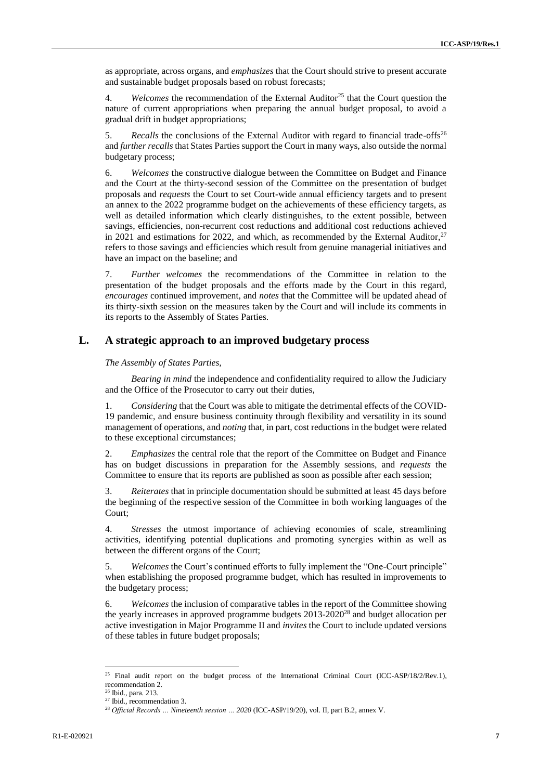as appropriate, across organs, and *emphasizes* that the Court should strive to present accurate and sustainable budget proposals based on robust forecasts;

4. *Welcomes* the recommendation of the External Auditor<sup>25</sup> that the Court question the nature of current appropriations when preparing the annual budget proposal, to avoid a gradual drift in budget appropriations;

5. *Recalls* the conclusions of the External Auditor with regard to financial trade-offs<sup>26</sup> and *further recalls* that States Parties support the Court in many ways, also outside the normal budgetary process;

6. *Welcomes* the constructive dialogue between the Committee on Budget and Finance and the Court at the thirty-second session of the Committee on the presentation of budget proposals and *requests* the Court to set Court-wide annual efficiency targets and to present an annex to the 2022 programme budget on the achievements of these efficiency targets, as well as detailed information which clearly distinguishes, to the extent possible, between savings, efficiencies, non-recurrent cost reductions and additional cost reductions achieved in 2021 and estimations for 2022, and which, as recommended by the External Auditor, $27$ refers to those savings and efficiencies which result from genuine managerial initiatives and have an impact on the baseline; and

7. *Further welcomes* the recommendations of the Committee in relation to the presentation of the budget proposals and the efforts made by the Court in this regard, *encourages* continued improvement, and *notes* that the Committee will be updated ahead of its thirty-sixth session on the measures taken by the Court and will include its comments in its reports to the Assembly of States Parties.

## **L. A strategic approach to an improved budgetary process**

*The Assembly of States Parties,*

*Bearing in mind* the independence and confidentiality required to allow the Judiciary and the Office of the Prosecutor to carry out their duties,

1. *Considering* that the Court was able to mitigate the detrimental effects of the COVID-19 pandemic, and ensure business continuity through flexibility and versatility in its sound management of operations, and *noting* that, in part, cost reductions in the budget were related to these exceptional circumstances;

2. *Emphasizes* the central role that the report of the Committee on Budget and Finance has on budget discussions in preparation for the Assembly sessions, and *requests* the Committee to ensure that its reports are published as soon as possible after each session;

3. *Reiterates* that in principle documentation should be submitted at least 45 days before the beginning of the respective session of the Committee in both working languages of the Court;

4. *Stresses* the utmost importance of achieving economies of scale, streamlining activities, identifying potential duplications and promoting synergies within as well as between the different organs of the Court;

5. *Welcomes* the Court's continued efforts to fully implement the "One-Court principle" when establishing the proposed programme budget, which has resulted in improvements to the budgetary process;

6. *Welcomes* the inclusion of comparative tables in the report of the Committee showing the yearly increases in approved programme budgets  $2013$ - $2020^{28}$  and budget allocation per active investigation in Major Programme II and *invites* the Court to include updated versions of these tables in future budget proposals;

<sup>&</sup>lt;sup>25</sup> Final audit report on the budget process of the International Criminal Court (ICC-ASP/18/2/Rev.1), recommendation 2.

<sup>26</sup> Ibid., para. 213.

<sup>27</sup> Ibid., recommendation 3.

<sup>28</sup> *Official Records … Nineteenth session … 2020* (ICC-ASP/19/20), vol. II, part B.2, annex V.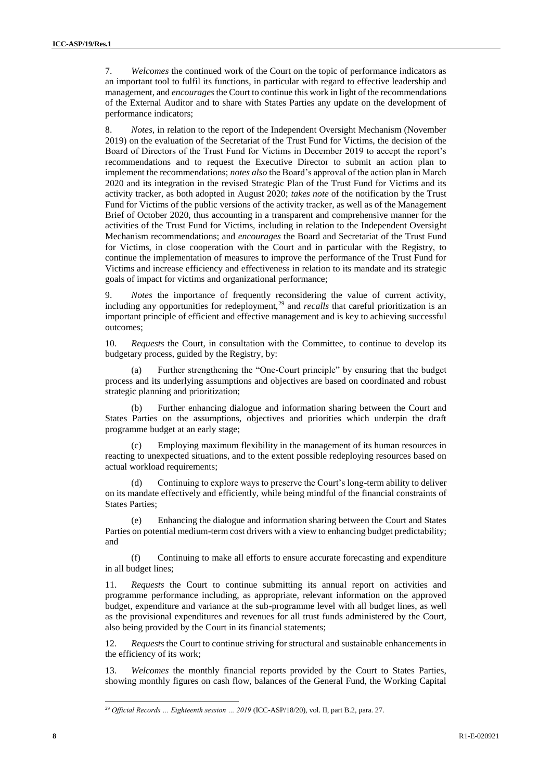7. *Welcomes* the continued work of the Court on the topic of performance indicators as an important tool to fulfil its functions, in particular with regard to effective leadership and management, and *encourages* the Court to continue this work in light of the recommendations of the External Auditor and to share with States Parties any update on the development of performance indicators;

8. *Notes*, in relation to the report of the Independent Oversight Mechanism (November 2019) on the evaluation of the Secretariat of the Trust Fund for Victims, the decision of the Board of Directors of the Trust Fund for Victims in December 2019 to accept the report's recommendations and to request the Executive Director to submit an action plan to implement the recommendations; *notes also* the Board's approval of the action plan in March 2020 and its integration in the revised Strategic Plan of the Trust Fund for Victims and its activity tracker, as both adopted in August 2020; *takes note* of the notification by the Trust Fund for Victims of the public versions of the activity tracker, as well as of the Management Brief of October 2020, thus accounting in a transparent and comprehensive manner for the activities of the Trust Fund for Victims, including in relation to the Independent Oversight Mechanism recommendations; and *encourages* the Board and Secretariat of the Trust Fund for Victims, in close cooperation with the Court and in particular with the Registry, to continue the implementation of measures to improve the performance of the Trust Fund for Victims and increase efficiency and effectiveness in relation to its mandate and its strategic goals of impact for victims and organizational performance;

9. *Notes* the importance of frequently reconsidering the value of current activity, including any opportunities for redeployment,<sup>29</sup> and *recalls* that careful prioritization is an important principle of efficient and effective management and is key to achieving successful outcomes;

10. *Requests* the Court, in consultation with the Committee, to continue to develop its budgetary process, guided by the Registry, by:

(a) Further strengthening the "One-Court principle" by ensuring that the budget process and its underlying assumptions and objectives are based on coordinated and robust strategic planning and prioritization;

(b) Further enhancing dialogue and information sharing between the Court and States Parties on the assumptions, objectives and priorities which underpin the draft programme budget at an early stage;

(c) Employing maximum flexibility in the management of its human resources in reacting to unexpected situations, and to the extent possible redeploying resources based on actual workload requirements;

Continuing to explore ways to preserve the Court's long-term ability to deliver on its mandate effectively and efficiently, while being mindful of the financial constraints of States Parties;

(e) Enhancing the dialogue and information sharing between the Court and States Parties on potential medium-term cost drivers with a view to enhancing budget predictability; and

(f) Continuing to make all efforts to ensure accurate forecasting and expenditure in all budget lines;

11. *Requests* the Court to continue submitting its annual report on activities and programme performance including, as appropriate, relevant information on the approved budget, expenditure and variance at the sub-programme level with all budget lines, as well as the provisional expenditures and revenues for all trust funds administered by the Court, also being provided by the Court in its financial statements;

12. *Requests* the Court to continue striving for structural and sustainable enhancements in the efficiency of its work;

13. *Welcomes* the monthly financial reports provided by the Court to States Parties, showing monthly figures on cash flow, balances of the General Fund, the Working Capital

 $\overline{\phantom{a}}$ 

<sup>&</sup>lt;sup>29</sup> Official Records ... Eighteenth session ... 2019 (ICC-ASP/18/20), vol. II, part B.2, para. 27.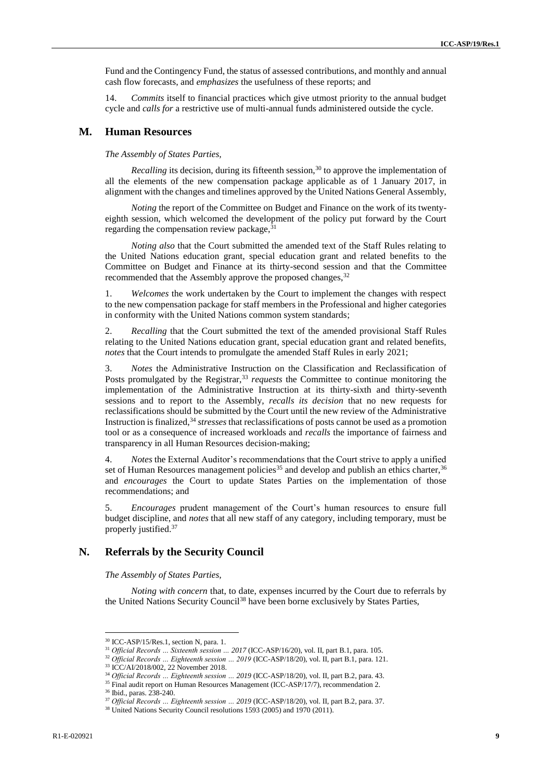Fund and the Contingency Fund, the status of assessed contributions, and monthly and annual cash flow forecasts, and *emphasizes* the usefulness of these reports; and

14. *Commits* itself to financial practices which give utmost priority to the annual budget cycle and *calls for* a restrictive use of multi-annual funds administered outside the cycle.

#### **M. Human Resources**

*The Assembly of States Parties,*

*Recalling* its decision, during its fifteenth session,<sup>30</sup> to approve the implementation of all the elements of the new compensation package applicable as of 1 January 2017, in alignment with the changes and timelines approved by the United Nations General Assembly,

*Noting* the report of the Committee on Budget and Finance on the work of its twentyeighth session, which welcomed the development of the policy put forward by the Court regarding the compensation review package,  $31$ 

*Noting also* that the Court submitted the amended text of the Staff Rules relating to the United Nations education grant, special education grant and related benefits to the Committee on Budget and Finance at its thirty-second session and that the Committee recommended that the Assembly approve the proposed changes,<sup>32</sup>

1. *Welcomes* the work undertaken by the Court to implement the changes with respect to the new compensation package for staff members in the Professional and higher categories in conformity with the United Nations common system standards;

2. *Recalling* that the Court submitted the text of the amended provisional Staff Rules relating to the United Nations education grant, special education grant and related benefits, *notes* that the Court intends to promulgate the amended Staff Rules in early 2021;

3. *Notes* the Administrative Instruction on the Classification and Reclassification of Posts promulgated by the Registrar,<sup>33</sup> requests the Committee to continue monitoring the implementation of the Administrative Instruction at its thirty-sixth and thirty-seventh sessions and to report to the Assembly, *recalls its decision* that no new requests for reclassifications should be submitted by the Court until the new review of the Administrative Instruction is finalized,<sup>34</sup> *stresses* that reclassifications of posts cannot be used as a promotion tool or as a consequence of increased workloads and *recalls* the importance of fairness and transparency in all Human Resources decision-making;

4. *Notes* the External Auditor's recommendations that the Court strive to apply a unified set of Human Resources management policies<sup>35</sup> and develop and publish an ethics charter,  $3<sup>6</sup>$ and *encourages* the Court to update States Parties on the implementation of those recommendations; and

5. *Encourages* prudent management of the Court's human resources to ensure full budget discipline, and *notes* that all new staff of any category, including temporary, must be properly justified.<sup>37</sup>

### **N. Referrals by the Security Council**

*The Assembly of States Parties,*

*Noting with concern* that, to date, expenses incurred by the Court due to referrals by the United Nations Security Council<sup>38</sup> have been borne exclusively by States Parties,

<sup>30</sup> ICC-ASP/15/Res.1, section N, para. 1.

<sup>&</sup>lt;sup>31</sup> *Official Records ... Sixteenth session ... 2017* (ICC-ASP/16/20), vol. II, part B.1, para. 105.

<sup>32</sup> *Official Records … Eighteenth session … 2019* (ICC-ASP/18/20), vol. II, part B.1, para. 121.

<sup>33</sup> ICC/AI/2018/002, 22 November 2018.

<sup>&</sup>lt;sup>34</sup> Official Records ... Eighteenth session ... 2019 (ICC-ASP/18/20), vol. II, part B.2, para. 43.

<sup>&</sup>lt;sup>35</sup> Final audit report on Human Resources Management (ICC-ASP/17/7), recommendation 2.

<sup>36</sup> Ibid., paras. 238-240.

<sup>&</sup>lt;sup>37</sup> Official Records ... Eighteenth session ... 2019 (ICC-ASP/18/20), vol. II, part B.2, para. 37.

<sup>&</sup>lt;sup>38</sup> United Nations Security Council resolutions 1593 (2005) and 1970 (2011).